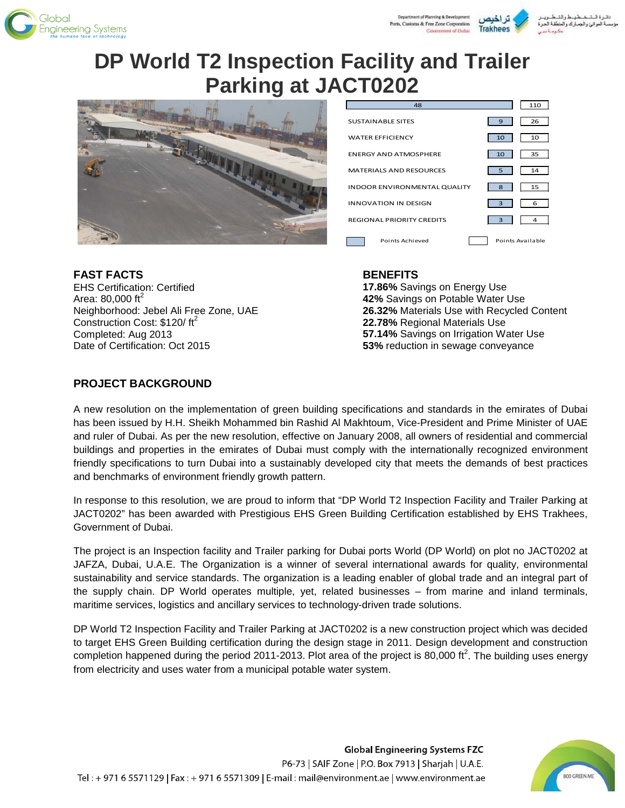





# **DP World T2 Inspection Facility and Trailer Parking at JACT0202**



| 48                                  | 110              |
|-------------------------------------|------------------|
| <b>SUSTAINABLE SITES</b>            | 26<br>9          |
| <b>WATER FEFICIENCY</b>             | 10<br>10         |
| <b>FNFRGY AND ATMOSPHERE</b>        | 35<br>10         |
| <b>MATERIALS AND RESOURCES</b>      | 14<br>5          |
| <b>INDOOR ENVIRONMENTAL QUALITY</b> | 15<br>8          |
| <b>INNOVATION IN DESIGN</b>         | 3<br>6           |
| <b>REGIONAL PRIORITY CREDITS</b>    | 3<br>4           |
| Points Achieved                     | Points Available |

#### **FAST FACTS**

EHS Certification: Certified Area: 80,000 ft $^2$ Neighborhood: Jebel Ali Free Zone, UAE Construction Cost: \$120/ft<sup>2</sup> Completed: Aug 2013 Date of Certification: Oct 2015

#### **BENEFITS**

**17.86%** Savings on Energy Use **42%** Savings on Potable Water Use **26.32%** Materials Use with Recycled Content **22.78%** Regional Materials Use **57.14%** Savings on Irrigation Water Use **53%** reduction in sewage conveyance

### **PROJECT BACKGROUND**

A new resolution on the implementation of green building specifications and standards in the emirates of Dubai has been issued by H.H. Sheikh Mohammed bin Rashid Al Makhtoum, Vice-President and Prime Minister of UAE and ruler of Dubai. As per the new resolution, effective on January 2008, all owners of residential and commercial buildings and properties in the emirates of Dubai must comply with the internationally recognized environment friendly specifications to turn Dubai into a sustainably developed city that meets the demands of best practices and benchmarks of environment friendly growth pattern.

In response to this resolution, we are proud to inform that "DP World T2 Inspection Facility and Trailer Parking at JACT0202" has been awarded with Prestigious EHS Green Building Certification established by EHS Trakhees, Government of Dubai.

The project is an Inspection facility and Trailer parking for Dubai ports World (DP World) on plot no JACT0202 at JAFZA, Dubai, U.A.E. The Organization is a winner of several international awards for quality, environmental sustainability and service standards. The organization is a leading enabler of global trade and an integral part of the supply chain. DP World operates multiple, yet, related businesses – from marine and inland terminals, maritime services, logistics and ancillary services to technology-driven trade solutions.

DP World T2 Inspection Facility and Trailer Parking at JACT0202 is a new construction project which was decided to target EHS Green Building certification during the design stage in 2011. Design development and construction completion happened during the period 2011-2013. Plot area of the project is 80,000 ft<sup>2</sup>. The building uses energy from electricity and uses water from a municipal potable water system.

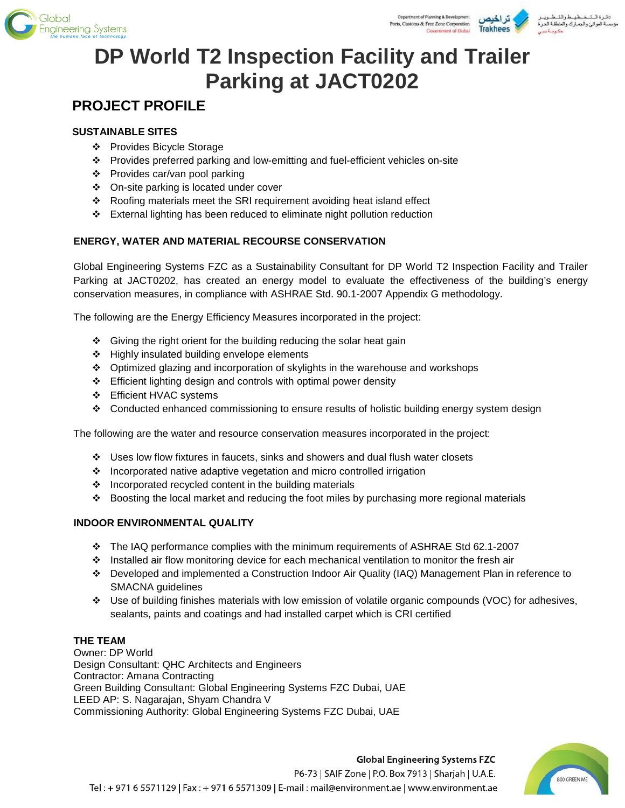



# **DP World T2 Inspection Facility and Trailer Parking at JACT0202**

# **PROJECT PROFILE**

# **SUSTAINABLE SITES**

- Provides Bicycle Storage
- Provides preferred parking and low-emitting and fuel-efficient vehicles on-site
- Provides car/van pool parking
- On-site parking is located under cover
- Roofing materials meet the SRI requirement avoiding heat island effect
- External lighting has been reduced to eliminate night pollution reduction

# **ENERGY, WATER AND MATERIAL RECOURSE CONSERVATION**

Global Engineering Systems FZC as a Sustainability Consultant for DP World T2 Inspection Facility and Trailer Parking at JACT0202, has created an energy model to evaluate the effectiveness of the building's energy conservation measures, in compliance with ASHRAE Std. 90.1-2007 Appendix G methodology.

The following are the Energy Efficiency Measures incorporated in the project:

- $\div$  Giving the right orient for the building reducing the solar heat gain
- ❖ Highly insulated building envelope elements
- Optimized glazing and incorporation of skylights in the warehouse and workshops
- Efficient lighting design and controls with optimal power density
- Efficient HVAC systems
- Conducted enhanced commissioning to ensure results of holistic building energy system design

The following are the water and resource conservation measures incorporated in the project:

- Uses low flow fixtures in faucets, sinks and showers and dual flush water closets
- Incorporated native adaptive vegetation and micro controlled irrigation
- $\cdot$  Incorporated recycled content in the building materials
- $\div$  Boosting the local market and reducing the foot miles by purchasing more regional materials

### **INDOOR ENVIRONMENTAL QUALITY**

- The IAQ performance complies with the minimum requirements of ASHRAE Std 62.1-2007
- $\cdot$  Installed air flow monitoring device for each mechanical ventilation to monitor the fresh air
- Developed and implemented a Construction Indoor Air Quality (IAQ) Management Plan in reference to SMACNA guidelines
- Use of building finishes materials with low emission of volatile organic compounds (VOC) for adhesives, sealants, paints and coatings and had installed carpet which is CRI certified

# **THE TEAM**

Owner: DP World Design Consultant: QHC Architects and Engineers Contractor: Amana Contracting Green Building Consultant: Global Engineering Systems FZC Dubai, UAE LEED AP: S. Nagarajan, Shyam Chandra V Commissioning Authority: Global Engineering Systems FZC Dubai, UAE